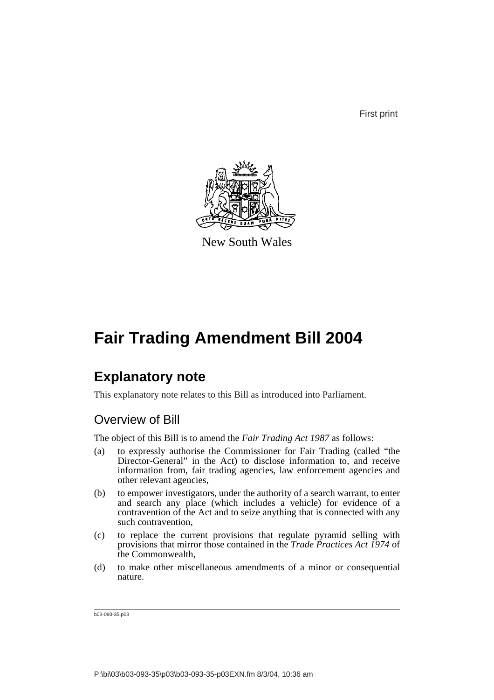First print



New South Wales

# **Fair Trading Amendment Bill 2004**

# **Explanatory note**

This explanatory note relates to this Bill as introduced into Parliament.

# Overview of Bill

The object of this Bill is to amend the *Fair Trading Act 1987* as follows:

- (a) to expressly authorise the Commissioner for Fair Trading (called "the Director-General" in the Act) to disclose information to, and receive information from, fair trading agencies, law enforcement agencies and other relevant agencies,
- (b) to empower investigators, under the authority of a search warrant, to enter and search any place (which includes a vehicle) for evidence of a contravention of the Act and to seize anything that is connected with any such contravention,
- (c) to replace the current provisions that regulate pyramid selling with provisions that mirror those contained in the *Trade Practices Act 1974* of the Commonwealth,
- (d) to make other miscellaneous amendments of a minor or consequential nature.

b03-093-35.p03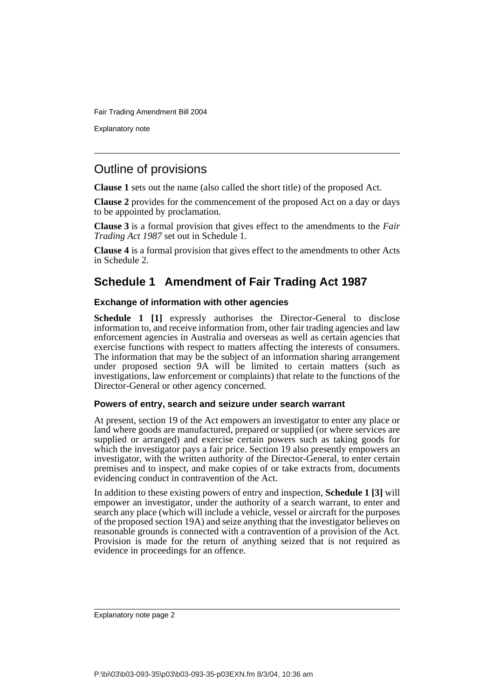Explanatory note

### Outline of provisions

**Clause 1** sets out the name (also called the short title) of the proposed Act.

**Clause 2** provides for the commencement of the proposed Act on a day or days to be appointed by proclamation.

**Clause 3** is a formal provision that gives effect to the amendments to the *Fair Trading Act 1987* set out in Schedule 1.

**Clause 4** is a formal provision that gives effect to the amendments to other Acts in Schedule 2.

# **Schedule 1 Amendment of Fair Trading Act 1987**

### **Exchange of information with other agencies**

**Schedule 1 [1]** expressly authorises the Director-General to disclose information to, and receive information from, other fair trading agencies and law enforcement agencies in Australia and overseas as well as certain agencies that exercise functions with respect to matters affecting the interests of consumers. The information that may be the subject of an information sharing arrangement under proposed section 9A will be limited to certain matters (such as investigations, law enforcement or complaints) that relate to the functions of the Director-General or other agency concerned.

### **Powers of entry, search and seizure under search warrant**

At present, section 19 of the Act empowers an investigator to enter any place or land where goods are manufactured, prepared or supplied (or where services are supplied or arranged) and exercise certain powers such as taking goods for which the investigator pays a fair price. Section 19 also presently empowers an investigator, with the written authority of the Director-General, to enter certain premises and to inspect, and make copies of or take extracts from, documents evidencing conduct in contravention of the Act.

In addition to these existing powers of entry and inspection, **Schedule 1 [3]** will empower an investigator, under the authority of a search warrant, to enter and search any place (which will include a vehicle, vessel or aircraft for the purposes of the proposed section 19A) and seize anything that the investigator believes on reasonable grounds is connected with a contravention of a provision of the Act. Provision is made for the return of anything seized that is not required as evidence in proceedings for an offence.

Explanatory note page 2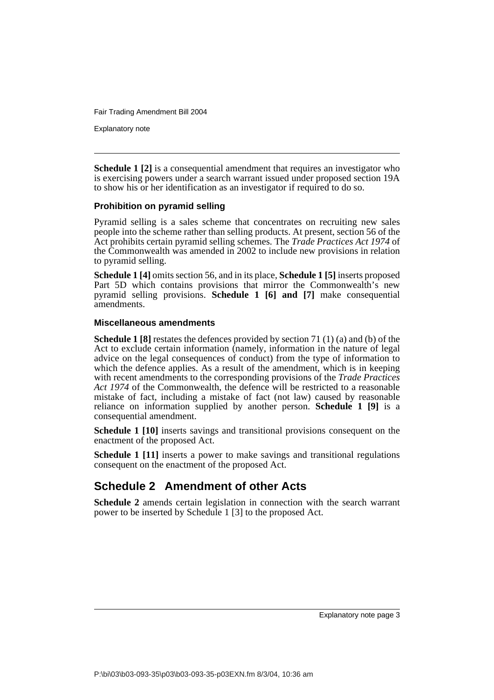Explanatory note

**Schedule 1** [2] is a consequential amendment that requires an investigator who is exercising powers under a search warrant issued under proposed section 19A to show his or her identification as an investigator if required to do so.

### **Prohibition on pyramid selling**

Pyramid selling is a sales scheme that concentrates on recruiting new sales people into the scheme rather than selling products. At present, section 56 of the Act prohibits certain pyramid selling schemes. The *Trade Practices Act 1974* of the Commonwealth was amended in 2002 to include new provisions in relation to pyramid selling.

**Schedule 1 [4]** omits section 56, and in its place, **Schedule 1 [5]** inserts proposed Part 5D which contains provisions that mirror the Commonwealth's new pyramid selling provisions. **Schedule 1 [6] and [7]** make consequential amendments.

### **Miscellaneous amendments**

**Schedule 1 [8]** restates the defences provided by section 71 (1) (a) and (b) of the Act to exclude certain information (namely, information in the nature of legal advice on the legal consequences of conduct) from the type of information to which the defence applies. As a result of the amendment, which is in keeping with recent amendments to the corresponding provisions of the *Trade Practices Act 1974* of the Commonwealth, the defence will be restricted to a reasonable mistake of fact, including a mistake of fact (not law) caused by reasonable reliance on information supplied by another person. **Schedule 1 [9]** is a consequential amendment.

**Schedule 1 [10]** inserts savings and transitional provisions consequent on the enactment of the proposed Act.

**Schedule 1 [11]** inserts a power to make savings and transitional regulations consequent on the enactment of the proposed Act.

### **Schedule 2 Amendment of other Acts**

**Schedule 2** amends certain legislation in connection with the search warrant power to be inserted by Schedule 1 [3] to the proposed Act.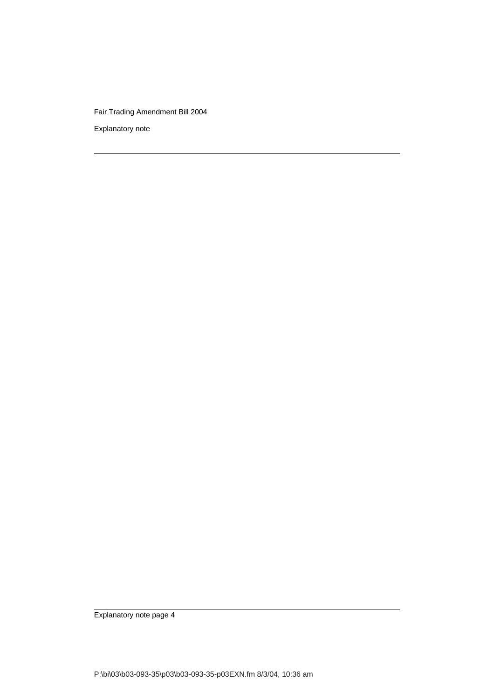Explanatory note

Explanatory note page 4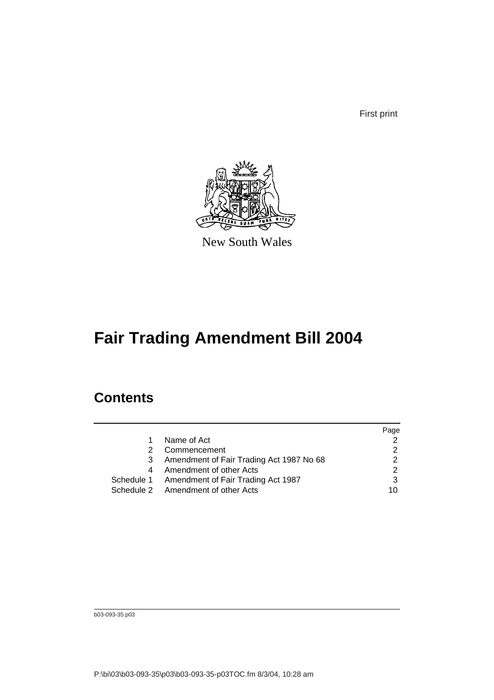First print



New South Wales

# **Fair Trading Amendment Bill 2004**

# **Contents**

|    |                                               | Page |
|----|-----------------------------------------------|------|
| 1  | Name of Act                                   |      |
| 2. | Commencement                                  |      |
| 3  | Amendment of Fair Trading Act 1987 No 68      |      |
|    | 4 Amendment of other Acts                     | 2    |
|    | Schedule 1 Amendment of Fair Trading Act 1987 |      |
|    | Schedule 2 Amendment of other Acts            | 10   |

b03-093-35.p03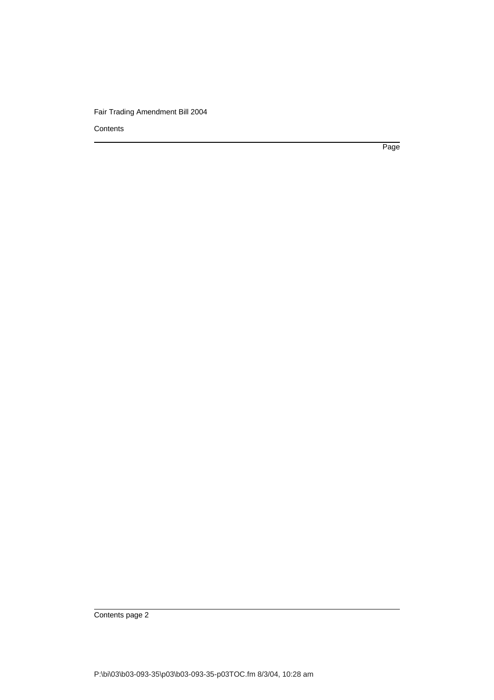**Contents** 

Page

Contents page 2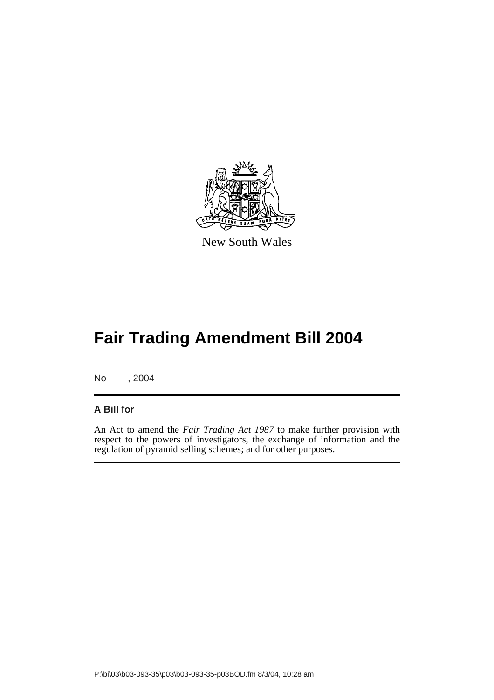

New South Wales

# **Fair Trading Amendment Bill 2004**

No , 2004

### **A Bill for**

An Act to amend the *Fair Trading Act 1987* to make further provision with respect to the powers of investigators, the exchange of information and the regulation of pyramid selling schemes; and for other purposes.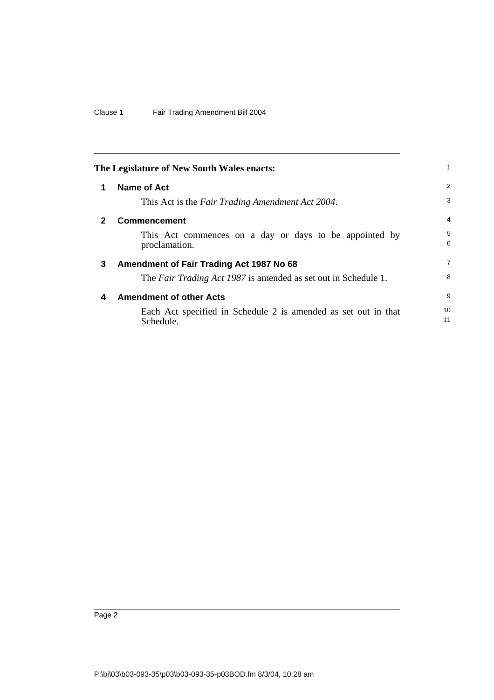|              | The Legislature of New South Wales enacts:                                  |                |
|--------------|-----------------------------------------------------------------------------|----------------|
| 1            | <b>Name of Act</b>                                                          | $\overline{2}$ |
|              | This Act is the Fair Trading Amendment Act 2004.                            | 3              |
| $\mathbf{2}$ | <b>Commencement</b>                                                         | 4              |
|              | This Act commences on a day or days to be appointed by<br>proclamation.     | 5<br>6         |
| 3            | Amendment of Fair Trading Act 1987 No 68                                    | $\overline{7}$ |
|              | The Fair Trading Act 1987 is amended as set out in Schedule 1.              | 8              |
| 4            | <b>Amendment of other Acts</b>                                              | 9              |
|              | Each Act specified in Schedule 2 is amended as set out in that<br>Schedule. | 10<br>11       |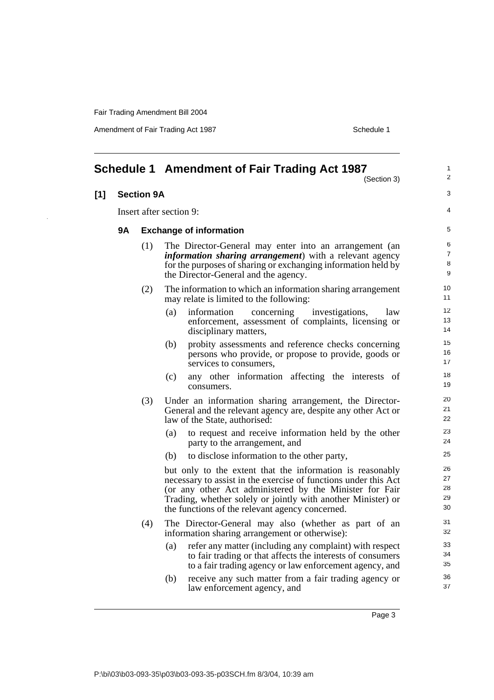$\ddot{\phantom{0}}$ 

Amendment of Fair Trading Act 1987 Schedule 1

|     |           |                   | <b>Schedule 1 Amendment of Fair Trading Act 1987</b><br>(Section 3)                                                                                                                                                                                                                                        | $\mathbf{1}$<br>2          |
|-----|-----------|-------------------|------------------------------------------------------------------------------------------------------------------------------------------------------------------------------------------------------------------------------------------------------------------------------------------------------------|----------------------------|
| [1] |           | <b>Section 9A</b> |                                                                                                                                                                                                                                                                                                            | 3                          |
|     |           |                   | Insert after section 9:                                                                                                                                                                                                                                                                                    | 4                          |
|     | <b>9A</b> |                   | <b>Exchange of information</b>                                                                                                                                                                                                                                                                             | 5                          |
|     |           | (1)               | The Director-General may enter into an arrangement (an<br><i>information sharing arrangement</i> ) with a relevant agency<br>for the purposes of sharing or exchanging information held by<br>the Director-General and the agency.                                                                         | 6<br>7<br>8<br>9           |
|     |           | (2)               | The information to which an information sharing arrangement<br>may relate is limited to the following:                                                                                                                                                                                                     | 10<br>11                   |
|     |           |                   | (a)<br>information<br>investigations,<br>law<br>concerning<br>enforcement, assessment of complaints, licensing or<br>disciplinary matters,                                                                                                                                                                 | 12<br>13<br>14             |
|     |           |                   | (b)<br>probity assessments and reference checks concerning<br>persons who provide, or propose to provide, goods or<br>services to consumers,                                                                                                                                                               | 15<br>16<br>17             |
|     |           |                   | any other information affecting the interests of<br>(c)<br>consumers.                                                                                                                                                                                                                                      | 18<br>19                   |
|     |           | (3)               | Under an information sharing arrangement, the Director-<br>General and the relevant agency are, despite any other Act or<br>law of the State, authorised:                                                                                                                                                  | 20<br>21<br>22             |
|     |           |                   | to request and receive information held by the other<br>(a)<br>party to the arrangement, and                                                                                                                                                                                                               | 23<br>24                   |
|     |           |                   | to disclose information to the other party,<br>(b)                                                                                                                                                                                                                                                         | 25                         |
|     |           |                   | but only to the extent that the information is reasonably<br>necessary to assist in the exercise of functions under this Act<br>(or any other Act administered by the Minister for Fair<br>Trading, whether solely or jointly with another Minister) or<br>the functions of the relevant agency concerned. | 26<br>27<br>28<br>29<br>30 |
|     |           | (4)               | The Director-General may also (whether as part of an<br>information sharing arrangement or otherwise):                                                                                                                                                                                                     | 31<br>32                   |
|     |           |                   | refer any matter (including any complaint) with respect<br>(a)<br>to fair trading or that affects the interests of consumers<br>to a fair trading agency or law enforcement agency, and                                                                                                                    | 33<br>34<br>35             |
|     |           |                   | receive any such matter from a fair trading agency or<br>(b)<br>law enforcement agency, and                                                                                                                                                                                                                | 36<br>37                   |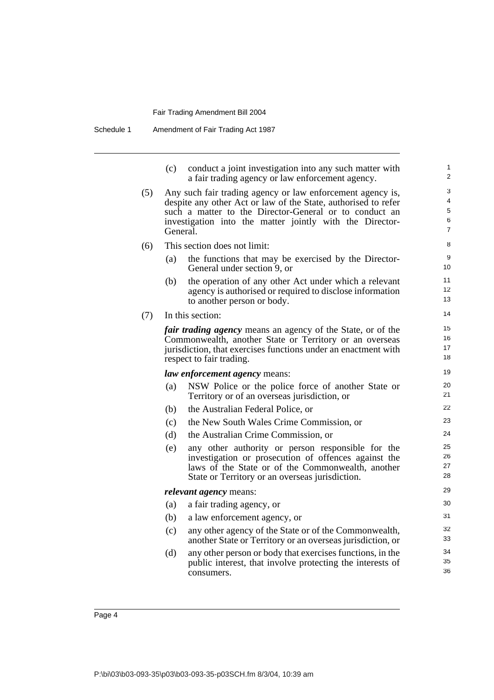|     | (c)      | conduct a joint investigation into any such matter with<br>a fair trading agency or law enforcement agency.                                                                                                                                        | 1<br>$\overline{2}$                |
|-----|----------|----------------------------------------------------------------------------------------------------------------------------------------------------------------------------------------------------------------------------------------------------|------------------------------------|
| (5) | General. | Any such fair trading agency or law enforcement agency is,<br>despite any other Act or law of the State, authorised to refer<br>such a matter to the Director-General or to conduct an<br>investigation into the matter jointly with the Director- | 3<br>4<br>5<br>6<br>$\overline{7}$ |
| (6) |          | This section does not limit:                                                                                                                                                                                                                       | 8                                  |
|     | (a)      | the functions that may be exercised by the Director-<br>General under section 9, or                                                                                                                                                                | 9<br>10                            |
|     | (b)      | the operation of any other Act under which a relevant<br>agency is authorised or required to disclose information<br>to another person or body.                                                                                                    | 11<br>12<br>13                     |
| (7) |          | In this section:                                                                                                                                                                                                                                   | 14                                 |
|     |          | <i>fair trading agency</i> means an agency of the State, or of the<br>Commonwealth, another State or Territory or an overseas<br>jurisdiction, that exercises functions under an enactment with<br>respect to fair trading.                        | 15<br>16<br>17<br>18               |
|     |          | <i>law enforcement agency means:</i>                                                                                                                                                                                                               | 19                                 |
|     | (a)      | NSW Police or the police force of another State or<br>Territory or of an overseas jurisdiction, or                                                                                                                                                 | 20<br>21                           |
|     | (b)      | the Australian Federal Police, or                                                                                                                                                                                                                  | 22                                 |
|     | (c)      | the New South Wales Crime Commission, or                                                                                                                                                                                                           | 23                                 |
|     | (d)      | the Australian Crime Commission, or                                                                                                                                                                                                                | 24                                 |
|     | (e)      | any other authority or person responsible for the<br>investigation or prosecution of offences against the<br>laws of the State or of the Commonwealth, another<br>State or Territory or an overseas jurisdiction.                                  | 25<br>26<br>27<br>28               |
|     |          | <i>relevant agency</i> means:                                                                                                                                                                                                                      | 29                                 |
|     | (a)      | a fair trading agency, or                                                                                                                                                                                                                          | 30                                 |
|     | (b)      | a law enforcement agency, or                                                                                                                                                                                                                       | 31                                 |
|     | (c)      | any other agency of the State or of the Commonwealth,<br>another State or Territory or an overseas jurisdiction, or                                                                                                                                | 32<br>33                           |
|     | (d)      | any other person or body that exercises functions, in the<br>public interest, that involve protecting the interests of<br>consumers.                                                                                                               | 34<br>35<br>36                     |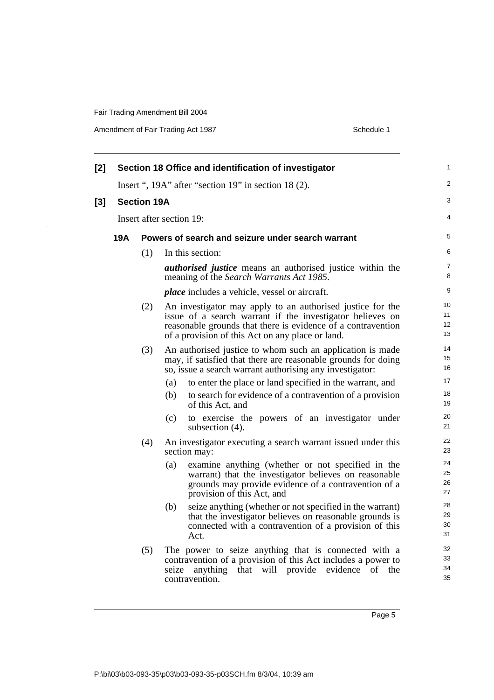Amendment of Fair Trading Act 1987 Schedule 1

| $[2]$ |     |                    | Section 18 Office and identification of investigator                                                                                                                                                                                        |
|-------|-----|--------------------|---------------------------------------------------------------------------------------------------------------------------------------------------------------------------------------------------------------------------------------------|
|       |     |                    | Insert ", $19A$ " after "section $19$ " in section $18(2)$ .                                                                                                                                                                                |
| $[3]$ |     | <b>Section 19A</b> |                                                                                                                                                                                                                                             |
|       |     |                    | Insert after section 19:                                                                                                                                                                                                                    |
|       | 19A |                    | Powers of search and seizure under search warrant                                                                                                                                                                                           |
|       |     | (1)                | In this section:                                                                                                                                                                                                                            |
|       |     |                    | <i>authorised justice</i> means an authorised justice within the<br>meaning of the Search Warrants Act 1985.                                                                                                                                |
|       |     |                    | <i>place</i> includes a vehicle, vessel or aircraft.                                                                                                                                                                                        |
|       |     | (2)                | An investigator may apply to an authorised justice for the<br>issue of a search warrant if the investigator believes on<br>reasonable grounds that there is evidence of a contravention<br>of a provision of this Act on any place or land. |
|       |     | (3)                | An authorised justice to whom such an application is made<br>may, if satisfied that there are reasonable grounds for doing<br>so, issue a search warrant authorising any investigator:                                                      |
|       |     |                    | to enter the place or land specified in the warrant, and<br>(a)                                                                                                                                                                             |
|       |     |                    | to search for evidence of a contravention of a provision<br>(b)<br>of this Act, and                                                                                                                                                         |
|       |     |                    | to exercise the powers of an investigator under<br>(c)<br>subsection $(4)$ .                                                                                                                                                                |
|       |     | (4)                | An investigator executing a search warrant issued under this<br>section may:                                                                                                                                                                |
|       |     |                    | examine anything (whether or not specified in the<br>(a)<br>warrant) that the investigator believes on reasonable<br>grounds may provide evidence of a contravention of a<br>provision of this Act, and                                     |
|       |     |                    | seize anything (whether or not specified in the warrant)<br>(b)<br>that the investigator believes on reasonable grounds is<br>connected with a contravention of a provision of this<br>Act.                                                 |
|       |     | (5)                | The power to seize anything that is connected with a<br>contravention of a provision of this Act includes a power to<br>anything that will provide evidence of the<br>seize<br>contravention.                                               |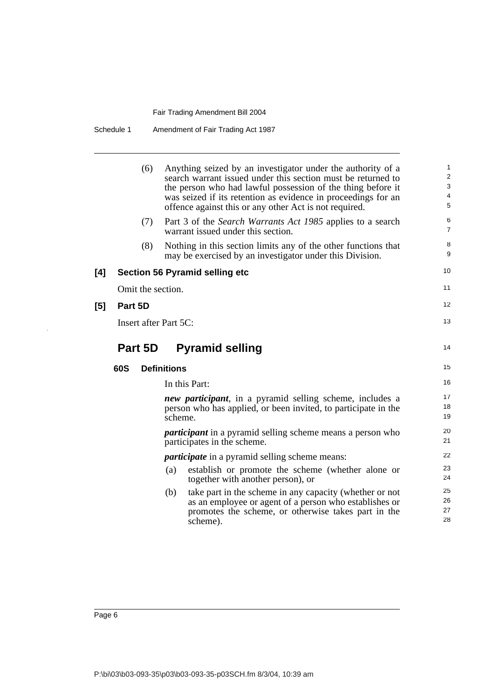| Schedule 1 | Amendment of Fair Trading Act 1987 |  |
|------------|------------------------------------|--|
|------------|------------------------------------|--|

|     |         | (6)               | Anything seized by an investigator under the authority of a<br>search warrant issued under this section must be returned to<br>the person who had lawful possession of the thing before it<br>was seized if its retention as evidence in proceedings for an<br>offence against this or any other Act is not required. | 1<br>$\overline{\mathbf{c}}$<br>3<br>4<br>5 |
|-----|---------|-------------------|-----------------------------------------------------------------------------------------------------------------------------------------------------------------------------------------------------------------------------------------------------------------------------------------------------------------------|---------------------------------------------|
|     |         | (7)               | Part 3 of the <i>Search Warrants Act 1985</i> applies to a search<br>warrant issued under this section.                                                                                                                                                                                                               | 6<br>7                                      |
|     |         | (8)               | Nothing in this section limits any of the other functions that<br>may be exercised by an investigator under this Division.                                                                                                                                                                                            | 8<br>9                                      |
| [4] |         |                   | Section 56 Pyramid selling etc                                                                                                                                                                                                                                                                                        | 10                                          |
|     |         | Omit the section. |                                                                                                                                                                                                                                                                                                                       | 11                                          |
| [5] | Part 5D |                   |                                                                                                                                                                                                                                                                                                                       | 12                                          |
|     |         |                   | Insert after Part 5C:                                                                                                                                                                                                                                                                                                 | 13                                          |
|     |         | Part 5D           | <b>Pyramid selling</b>                                                                                                                                                                                                                                                                                                | 14                                          |
|     | 60S     |                   | <b>Definitions</b>                                                                                                                                                                                                                                                                                                    | 15                                          |
|     |         |                   | In this Part:                                                                                                                                                                                                                                                                                                         | 16                                          |
|     |         |                   | new participant, in a pyramid selling scheme, includes a<br>person who has applied, or been invited, to participate in the<br>scheme.                                                                                                                                                                                 | 17<br>18<br>19                              |
|     |         |                   | <i>participant</i> in a pyramid selling scheme means a person who<br>participates in the scheme.                                                                                                                                                                                                                      | 20<br>21                                    |
|     |         |                   | <i>participate</i> in a pyramid selling scheme means:                                                                                                                                                                                                                                                                 | 22                                          |
|     |         |                   | establish or promote the scheme (whether alone or<br>(a)<br>together with another person), or                                                                                                                                                                                                                         | 23<br>24                                    |
|     |         |                   | take part in the scheme in any capacity (whether or not<br>(b)<br>as an employee or agent of a person who establishes or<br>promotes the scheme, or otherwise takes part in the<br>scheme).                                                                                                                           | 25<br>26<br>27<br>28                        |

 $\hat{\mathcal{A}}$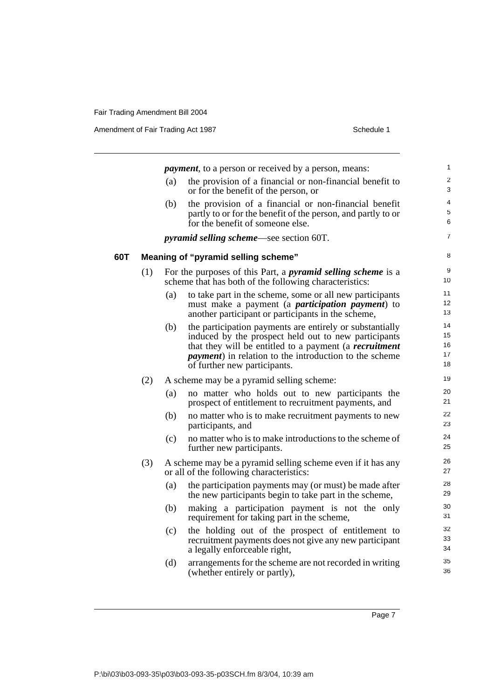Amendment of Fair Trading Act 1987 Schedule 1

*payment*, to a person or received by a person, means: (a) the provision of a financial or non-financial benefit to or for the benefit of the person, or (b) the provision of a financial or non-financial benefit partly to or for the benefit of the person, and partly to or for the benefit of someone else. *pyramid selling scheme*—see section 60T. **60T Meaning of "pyramid selling scheme"** (1) For the purposes of this Part, a *pyramid selling scheme* is a scheme that has both of the following characteristics: (a) to take part in the scheme, some or all new participants must make a payment (a *participation payment*) to another participant or participants in the scheme, (b) the participation payments are entirely or substantially induced by the prospect held out to new participants that they will be entitled to a payment (a *recruitment payment*) in relation to the introduction to the scheme of further new participants. (2) A scheme may be a pyramid selling scheme: (a) no matter who holds out to new participants the prospect of entitlement to recruitment payments, and (b) no matter who is to make recruitment payments to new participants, and (c) no matter who is to make introductions to the scheme of further new participants. (3) A scheme may be a pyramid selling scheme even if it has any or all of the following characteristics: (a) the participation payments may (or must) be made after the new participants begin to take part in the scheme, (b) making a participation payment is not the only requirement for taking part in the scheme, (c) the holding out of the prospect of entitlement to recruitment payments does not give any new participant a legally enforceable right, (d) arrangements for the scheme are not recorded in writing (whether entirely or partly), 1  $\mathfrak{p}$ 3 4 5 6 7 8 9 10 11 12 13 14 15 16 17 18 19 20 21 22 23 24 25 26 27 28 29 30 31 32 33 34 35 36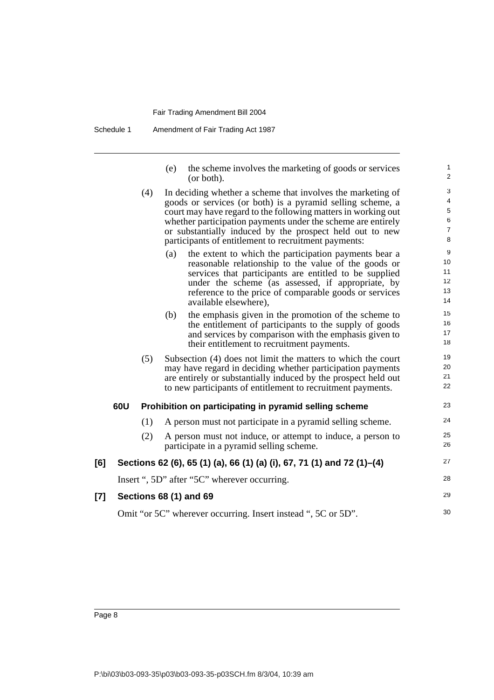| (e) | the scheme involves the marketing of goods or services |
|-----|--------------------------------------------------------|
|     | (or both).                                             |

27

28 29

30

- (4) In deciding whether a scheme that involves the marketing of goods or services (or both) is a pyramid selling scheme, a court may have regard to the following matters in working out whether participation payments under the scheme are entirely or substantially induced by the prospect held out to new participants of entitlement to recruitment payments:
	- (a) the extent to which the participation payments bear a reasonable relationship to the value of the goods or services that participants are entitled to be supplied under the scheme (as assessed, if appropriate, by reference to the price of comparable goods or services available elsewhere),
	- (b) the emphasis given in the promotion of the scheme to the entitlement of participants to the supply of goods and services by comparison with the emphasis given to their entitlement to recruitment payments.
- (5) Subsection (4) does not limit the matters to which the court may have regard in deciding whether participation payments are entirely or substantially induced by the prospect held out to new participants of entitlement to recruitment payments.

#### **60U Prohibition on participating in pyramid selling scheme**

- (1) A person must not participate in a pyramid selling scheme.
- (2) A person must not induce, or attempt to induce, a person to participate in a pyramid selling scheme.

# **[6] Sections 62 (6), 65 (1) (a), 66 (1) (a) (i), 67, 71 (1) and 72 (1)–(4)**

Insert ", 5D" after "5C" wherever occurring.

#### **[7] Sections 68 (1) and 69**

Omit "or 5C" wherever occurring. Insert instead ", 5C or 5D".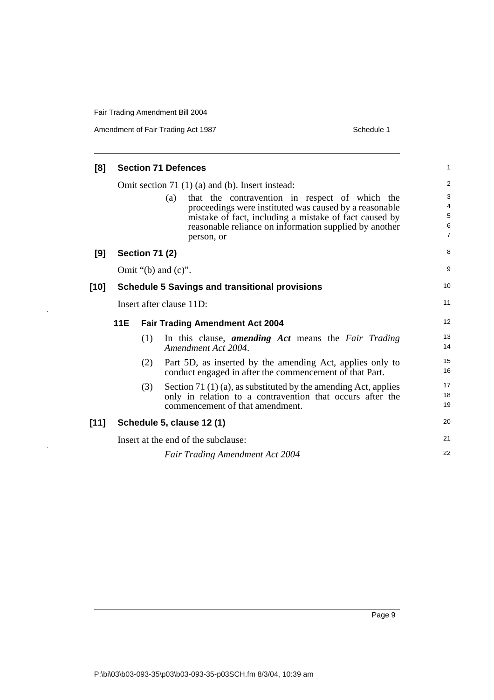l,

 $\frac{1}{2}$ 

 $\bar{\mathcal{A}}$ 

| Amendment of Fair Trading Act 1987 | Schedule 1 |
|------------------------------------|------------|
|                                    |            |

| [8]    |            |                       | <b>Section 71 Defences</b>                                                                                                                                                                                                                        | 1                     |
|--------|------------|-----------------------|---------------------------------------------------------------------------------------------------------------------------------------------------------------------------------------------------------------------------------------------------|-----------------------|
|        |            |                       | Omit section 71 $(1)$ $(a)$ and $(b)$ . Insert instead:                                                                                                                                                                                           | $\overline{2}$        |
|        |            |                       | that the contravention in respect of which the<br>(a)<br>proceedings were instituted was caused by a reasonable<br>mistake of fact, including a mistake of fact caused by<br>reasonable reliance on information supplied by another<br>person, or | 3<br>4<br>5<br>6<br>7 |
| [9]    |            | <b>Section 71 (2)</b> |                                                                                                                                                                                                                                                   | 8                     |
|        |            |                       | Omit " $(b)$ and $(c)$ ".                                                                                                                                                                                                                         | 9                     |
| $[10]$ |            |                       | <b>Schedule 5 Savings and transitional provisions</b>                                                                                                                                                                                             | 10                    |
|        |            |                       | Insert after clause 11D:                                                                                                                                                                                                                          | 11                    |
|        | <b>11E</b> |                       | <b>Fair Trading Amendment Act 2004</b>                                                                                                                                                                                                            | 12                    |
|        |            | (1)                   | In this clause, <i>amending Act</i> means the <i>Fair Trading</i><br>Amendment Act 2004.                                                                                                                                                          | 13<br>14              |
|        |            | (2)                   | Part 5D, as inserted by the amending Act, applies only to<br>conduct engaged in after the commencement of that Part.                                                                                                                              | 15<br>16              |
|        |            | (3)                   | Section 71 $(1)$ (a), as substituted by the amending Act, applies<br>only in relation to a contravention that occurs after the<br>commencement of that amendment.                                                                                 | 17<br>18<br>19        |
| [11]   |            |                       | Schedule 5, clause 12 (1)                                                                                                                                                                                                                         | 20                    |
|        |            |                       | Insert at the end of the subclause:                                                                                                                                                                                                               | 21                    |
|        |            |                       | Fair Trading Amendment Act 2004                                                                                                                                                                                                                   | 22                    |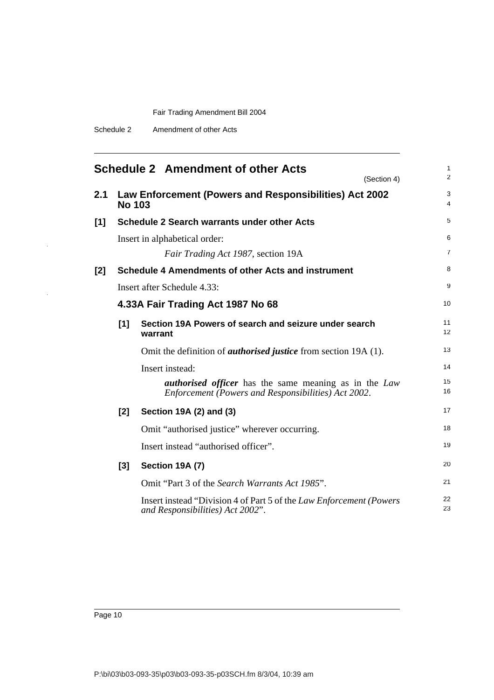|       |               | <b>Schedule 2 Amendment of other Acts</b><br>(Section 4)                                                            | 1<br>$\overline{2}$ |
|-------|---------------|---------------------------------------------------------------------------------------------------------------------|---------------------|
| 2.1   | <b>No 103</b> | Law Enforcement (Powers and Responsibilities) Act 2002                                                              | 3<br>$\overline{4}$ |
| [1]   |               | <b>Schedule 2 Search warrants under other Acts</b>                                                                  | 5                   |
|       |               | Insert in alphabetical order:                                                                                       | 6                   |
|       |               | Fair Trading Act 1987, section 19A                                                                                  | $\overline{7}$      |
| $[2]$ |               | Schedule 4 Amendments of other Acts and instrument                                                                  | 8                   |
|       |               | Insert after Schedule 4.33:                                                                                         | 9                   |
|       |               | 4.33A Fair Trading Act 1987 No 68                                                                                   | 10                  |
|       | $[1]$         | Section 19A Powers of search and seizure under search<br>warrant                                                    | 11<br>12            |
|       |               | Omit the definition of <i>authorised justice</i> from section 19A (1).                                              | 13                  |
|       |               | Insert instead:                                                                                                     | 14                  |
|       |               | <i>authorised officer</i> has the same meaning as in the Law<br>Enforcement (Powers and Responsibilities) Act 2002. | 15<br>16            |
|       | [2]           | Section 19A (2) and (3)                                                                                             | 17                  |
|       |               | Omit "authorised justice" wherever occurring.                                                                       | 18                  |
|       |               | Insert instead "authorised officer".                                                                                | 19                  |
|       | $[3]$         | Section 19A (7)                                                                                                     | 20                  |
|       |               | Omit "Part 3 of the Search Warrants Act 1985".                                                                      | 21                  |
|       |               | Insert instead "Division 4 of Part 5 of the Law Enforcement (Powers<br>and Responsibilities) Act 2002".             | 22<br>23            |
|       |               |                                                                                                                     |                     |

i.

l,